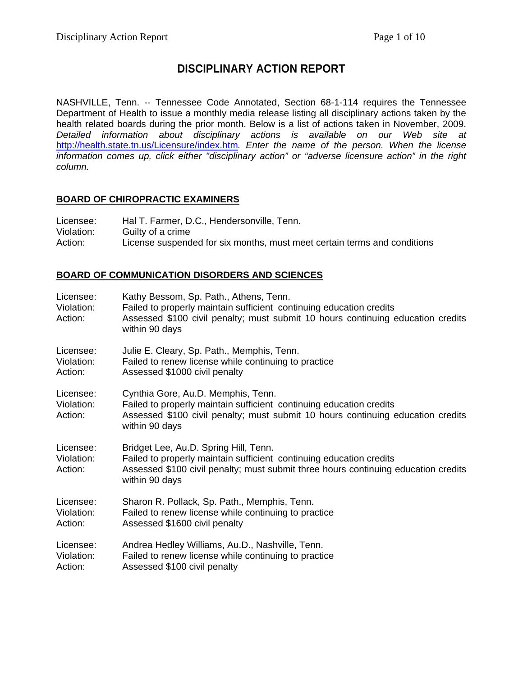# **DISCIPLINARY ACTION REPORT**

NASHVILLE, Tenn. -- Tennessee Code Annotated, Section 68-1-114 requires the Tennessee Department of Health to issue a monthly media release listing all disciplinary actions taken by the health related boards during the prior month. Below is a list of actions taken in November, 2009. *Detailed information about disciplinary actions is available on our Web site at*  <http://health.state.tn.us/Licensure/index.htm>*. Enter the name of the person. When the license information comes up, click either "disciplinary action" or "adverse licensure action" in the right column.* 

### **BOARD OF CHIROPRACTIC EXAMINERS**

Licensee: Hal T. Farmer, D.C., Hendersonville, Tenn. Violation: Guilty of a crime Action: License suspended for six months, must meet certain terms and conditions

### **BOARD OF COMMUNICATION DISORDERS AND SCIENCES**

| Licensee:<br>Violation:<br>Action: | Kathy Bessom, Sp. Path., Athens, Tenn.<br>Failed to properly maintain sufficient continuing education credits<br>Assessed \$100 civil penalty; must submit 10 hours continuing education credits<br>within 90 days   |
|------------------------------------|----------------------------------------------------------------------------------------------------------------------------------------------------------------------------------------------------------------------|
| Licensee:                          | Julie E. Cleary, Sp. Path., Memphis, Tenn.                                                                                                                                                                           |
| Violation:                         | Failed to renew license while continuing to practice                                                                                                                                                                 |
| Action:                            | Assessed \$1000 civil penalty                                                                                                                                                                                        |
| Licensee:<br>Violation:<br>Action: | Cynthia Gore, Au.D. Memphis, Tenn.<br>Failed to properly maintain sufficient continuing education credits<br>Assessed \$100 civil penalty; must submit 10 hours continuing education credits<br>within 90 days       |
| Licensee:<br>Violation:<br>Action: | Bridget Lee, Au.D. Spring Hill, Tenn.<br>Failed to properly maintain sufficient continuing education credits<br>Assessed \$100 civil penalty; must submit three hours continuing education credits<br>within 90 days |
| Licensee:                          | Sharon R. Pollack, Sp. Path., Memphis, Tenn.                                                                                                                                                                         |
| Violation:                         | Failed to renew license while continuing to practice                                                                                                                                                                 |
| Action:                            | Assessed \$1600 civil penalty                                                                                                                                                                                        |
| Licensee:                          | Andrea Hedley Williams, Au.D., Nashville, Tenn.                                                                                                                                                                      |
| Violation:                         | Failed to renew license while continuing to practice                                                                                                                                                                 |
| Action:                            | Assessed \$100 civil penalty                                                                                                                                                                                         |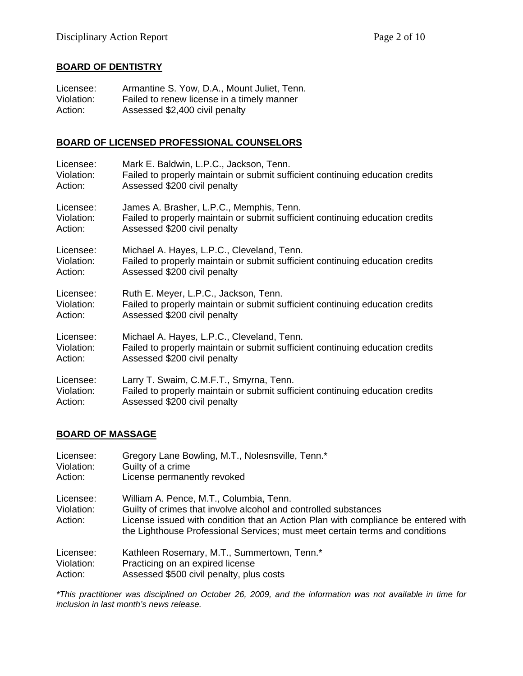# **BOARD OF DENTISTRY**

| Licensee:  | Armantine S. Yow, D.A., Mount Juliet, Tenn. |
|------------|---------------------------------------------|
| Violation: | Failed to renew license in a timely manner  |
| Action:    | Assessed \$2,400 civil penalty              |

### **BOARD OF LICENSED PROFESSIONAL COUNSELORS**

| Licensee:  | Mark E. Baldwin, L.P.C., Jackson, Tenn.                                       |
|------------|-------------------------------------------------------------------------------|
| Violation: | Failed to properly maintain or submit sufficient continuing education credits |
| Action:    | Assessed \$200 civil penalty                                                  |
| Licensee:  | James A. Brasher, L.P.C., Memphis, Tenn.                                      |
| Violation: | Failed to properly maintain or submit sufficient continuing education credits |
| Action:    | Assessed \$200 civil penalty                                                  |
| Licensee:  | Michael A. Hayes, L.P.C., Cleveland, Tenn.                                    |
| Violation: | Failed to properly maintain or submit sufficient continuing education credits |
| Action:    | Assessed \$200 civil penalty                                                  |
| Licensee:  | Ruth E. Meyer, L.P.C., Jackson, Tenn.                                         |
| Violation: | Failed to properly maintain or submit sufficient continuing education credits |
| Action:    | Assessed \$200 civil penalty                                                  |
| Licensee:  | Michael A. Hayes, L.P.C., Cleveland, Tenn.                                    |
| Violation: | Failed to properly maintain or submit sufficient continuing education credits |
| Action:    | Assessed \$200 civil penalty                                                  |
| Licensee:  | Larry T. Swaim, C.M.F.T., Smyrna, Tenn.                                       |
| Violation: | Failed to properly maintain or submit sufficient continuing education credits |
| Action:    | Assessed \$200 civil penalty                                                  |

### **BOARD OF MASSAGE**

| Licensee:                          | Gregory Lane Bowling, M.T., Nolesnsville, Tenn.*                                                                                                                                                                                                                                |
|------------------------------------|---------------------------------------------------------------------------------------------------------------------------------------------------------------------------------------------------------------------------------------------------------------------------------|
| Violation:                         | Guilty of a crime                                                                                                                                                                                                                                                               |
| Action:                            | License permanently revoked                                                                                                                                                                                                                                                     |
| Licensee:<br>Violation:<br>Action: | William A. Pence, M.T., Columbia, Tenn.<br>Guilty of crimes that involve alcohol and controlled substances<br>License issued with condition that an Action Plan with compliance be entered with<br>the Lighthouse Professional Services; must meet certain terms and conditions |
| Licensee:                          | Kathleen Rosemary, M.T., Summertown, Tenn.*                                                                                                                                                                                                                                     |
| Violation:                         | Practicing on an expired license                                                                                                                                                                                                                                                |
| Action:                            | Assessed \$500 civil penalty, plus costs                                                                                                                                                                                                                                        |

*\*This practitioner was disciplined on October 26, 2009, and the information was not available in time for inclusion in last month's news release.*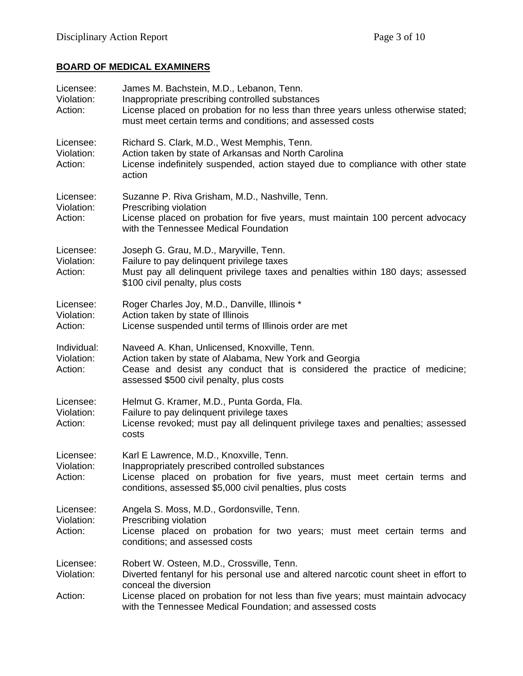# **BOARD OF MEDICAL EXAMINERS**

| Licensee:<br>Violation:<br>Action:   | James M. Bachstein, M.D., Lebanon, Tenn.<br>Inappropriate prescribing controlled substances<br>License placed on probation for no less than three years unless otherwise stated;<br>must meet certain terms and conditions; and assessed costs                                                              |
|--------------------------------------|-------------------------------------------------------------------------------------------------------------------------------------------------------------------------------------------------------------------------------------------------------------------------------------------------------------|
| Licensee:<br>Violation:<br>Action:   | Richard S. Clark, M.D., West Memphis, Tenn.<br>Action taken by state of Arkansas and North Carolina<br>License indefinitely suspended, action stayed due to compliance with other state<br>action                                                                                                           |
| Licensee:<br>Violation:<br>Action:   | Suzanne P. Riva Grisham, M.D., Nashville, Tenn.<br>Prescribing violation<br>License placed on probation for five years, must maintain 100 percent advocacy<br>with the Tennessee Medical Foundation                                                                                                         |
| Licensee:<br>Violation:<br>Action:   | Joseph G. Grau, M.D., Maryville, Tenn.<br>Failure to pay delinquent privilege taxes<br>Must pay all delinquent privilege taxes and penalties within 180 days; assessed<br>\$100 civil penalty, plus costs                                                                                                   |
| Licensee:<br>Violation:<br>Action:   | Roger Charles Joy, M.D., Danville, Illinois *<br>Action taken by state of Illinois<br>License suspended until terms of Illinois order are met                                                                                                                                                               |
| Individual:<br>Violation:<br>Action: | Naveed A. Khan, Unlicensed, Knoxville, Tenn.<br>Action taken by state of Alabama, New York and Georgia<br>Cease and desist any conduct that is considered the practice of medicine;<br>assessed \$500 civil penalty, plus costs                                                                             |
| Licensee:<br>Violation:<br>Action:   | Helmut G. Kramer, M.D., Punta Gorda, Fla.<br>Failure to pay delinquent privilege taxes<br>License revoked; must pay all delinquent privilege taxes and penalties; assessed<br>costs                                                                                                                         |
| Licensee:<br>Violation:<br>Action:   | Karl E Lawrence, M.D., Knoxville, Tenn.<br>Inappropriately prescribed controlled substances<br>License placed on probation for five years, must meet certain terms and<br>conditions, assessed \$5,000 civil penalties, plus costs                                                                          |
| Licensee:<br>Violation:<br>Action:   | Angela S. Moss, M.D., Gordonsville, Tenn.<br>Prescribing violation<br>License placed on probation for two years; must meet certain terms and<br>conditions; and assessed costs                                                                                                                              |
| Licensee:<br>Violation:<br>Action:   | Robert W. Osteen, M.D., Crossville, Tenn.<br>Diverted fentanyl for his personal use and altered narcotic count sheet in effort to<br>conceal the diversion<br>License placed on probation for not less than five years; must maintain advocacy<br>with the Tennessee Medical Foundation; and assessed costs |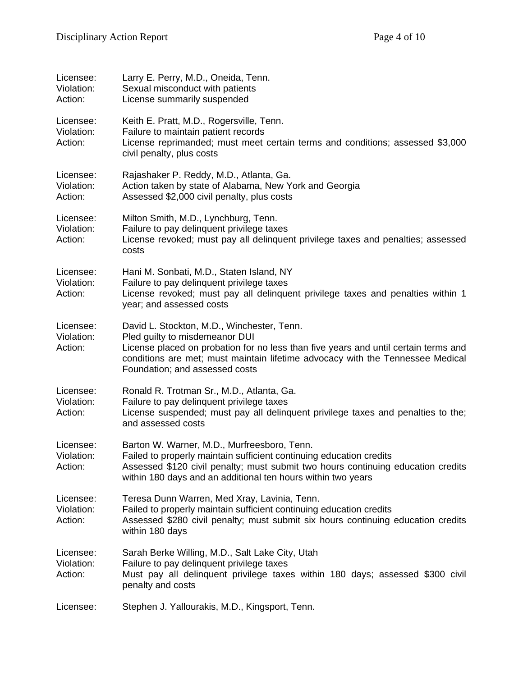| Licensee:<br>Violation:<br>Action: | Larry E. Perry, M.D., Oneida, Tenn.<br>Sexual misconduct with patients<br>License summarily suspended                                                                                                                                                                                   |
|------------------------------------|-----------------------------------------------------------------------------------------------------------------------------------------------------------------------------------------------------------------------------------------------------------------------------------------|
| Licensee:<br>Violation:<br>Action: | Keith E. Pratt, M.D., Rogersville, Tenn.<br>Failure to maintain patient records<br>License reprimanded; must meet certain terms and conditions; assessed \$3,000<br>civil penalty, plus costs                                                                                           |
| Licensee:<br>Violation:<br>Action: | Rajashaker P. Reddy, M.D., Atlanta, Ga.<br>Action taken by state of Alabama, New York and Georgia<br>Assessed \$2,000 civil penalty, plus costs                                                                                                                                         |
| Licensee:<br>Violation:<br>Action: | Milton Smith, M.D., Lynchburg, Tenn.<br>Failure to pay delinquent privilege taxes<br>License revoked; must pay all delinquent privilege taxes and penalties; assessed<br>costs                                                                                                          |
| Licensee:<br>Violation:<br>Action: | Hani M. Sonbati, M.D., Staten Island, NY<br>Failure to pay delinquent privilege taxes<br>License revoked; must pay all delinquent privilege taxes and penalties within 1<br>year; and assessed costs                                                                                    |
| Licensee:<br>Violation:<br>Action: | David L. Stockton, M.D., Winchester, Tenn.<br>Pled guilty to misdemeanor DUI<br>License placed on probation for no less than five years and until certain terms and<br>conditions are met; must maintain lifetime advocacy with the Tennessee Medical<br>Foundation; and assessed costs |
| Licensee:<br>Violation:<br>Action: | Ronald R. Trotman Sr., M.D., Atlanta, Ga.<br>Failure to pay delinquent privilege taxes<br>License suspended; must pay all delinquent privilege taxes and penalties to the;<br>and assessed costs                                                                                        |
| Licensee:<br>Violation:<br>Action: | Barton W. Warner, M.D., Murfreesboro, Tenn.<br>Failed to properly maintain sufficient continuing education credits<br>Assessed \$120 civil penalty; must submit two hours continuing education credits<br>within 180 days and an additional ten hours within two years                  |
| Licensee:<br>Violation:<br>Action: | Teresa Dunn Warren, Med Xray, Lavinia, Tenn.<br>Failed to properly maintain sufficient continuing education credits<br>Assessed \$280 civil penalty; must submit six hours continuing education credits<br>within 180 days                                                              |
| Licensee:<br>Violation:<br>Action: | Sarah Berke Willing, M.D., Salt Lake City, Utah<br>Failure to pay delinquent privilege taxes<br>Must pay all delinquent privilege taxes within 180 days; assessed \$300 civil<br>penalty and costs                                                                                      |
| Licensee:                          | Stephen J. Yallourakis, M.D., Kingsport, Tenn.                                                                                                                                                                                                                                          |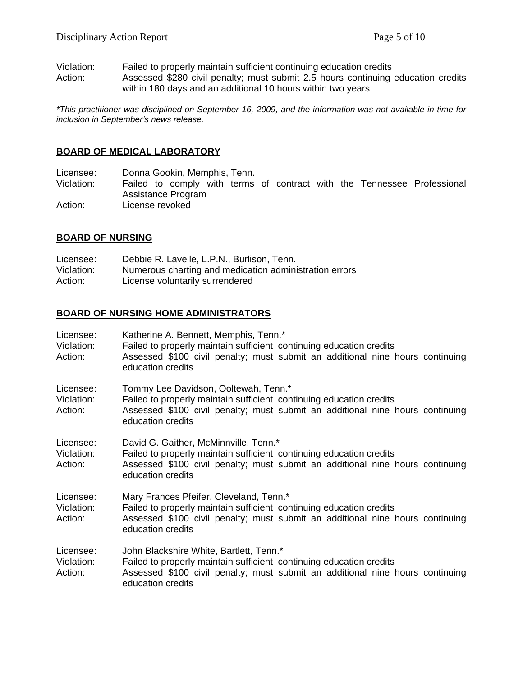Violation: Failed to properly maintain sufficient continuing education credits Action: Assessed \$280 civil penalty; must submit 2.5 hours continuing education credits within 180 days and an additional 10 hours within two years

*\*This practitioner was disciplined on September 16, 2009, and the information was not available in time for inclusion in September's news release.* 

#### **BOARD OF MEDICAL LABORATORY**

Licensee: Donna Gookin, Memphis, Tenn.

Violation: Failed to comply with terms of contract with the Tennessee Professional Assistance Program

Action: License revoked

#### **BOARD OF NURSING**

| Licensee:  | Debbie R. Lavelle, L.P.N., Burlison, Tenn.             |
|------------|--------------------------------------------------------|
| Violation: | Numerous charting and medication administration errors |
| Action:    | License voluntarily surrendered                        |

#### **BOARD OF NURSING HOME ADMINISTRATORS**

| Licensee:<br>Violation:<br>Action: | Katherine A. Bennett, Memphis, Tenn.*<br>Failed to properly maintain sufficient continuing education credits<br>Assessed \$100 civil penalty; must submit an additional nine hours continuing<br>education credits   |
|------------------------------------|----------------------------------------------------------------------------------------------------------------------------------------------------------------------------------------------------------------------|
| Licensee:<br>Violation:<br>Action: | Tommy Lee Davidson, Ooltewah, Tenn.*<br>Failed to properly maintain sufficient continuing education credits<br>Assessed \$100 civil penalty; must submit an additional nine hours continuing<br>education credits    |
| Licensee:<br>Violation:<br>Action: | David G. Gaither, McMinnville, Tenn.*<br>Failed to properly maintain sufficient continuing education credits<br>Assessed \$100 civil penalty; must submit an additional nine hours continuing<br>education credits   |
| Licensee:<br>Violation:<br>Action: | Mary Frances Pfeifer, Cleveland, Tenn.*<br>Failed to properly maintain sufficient continuing education credits<br>Assessed \$100 civil penalty; must submit an additional nine hours continuing<br>education credits |
| Licensee:<br>Violation:<br>Action: | John Blackshire White, Bartlett, Tenn.*<br>Failed to properly maintain sufficient continuing education credits<br>Assessed \$100 civil penalty; must submit an additional nine hours continuing<br>education credits |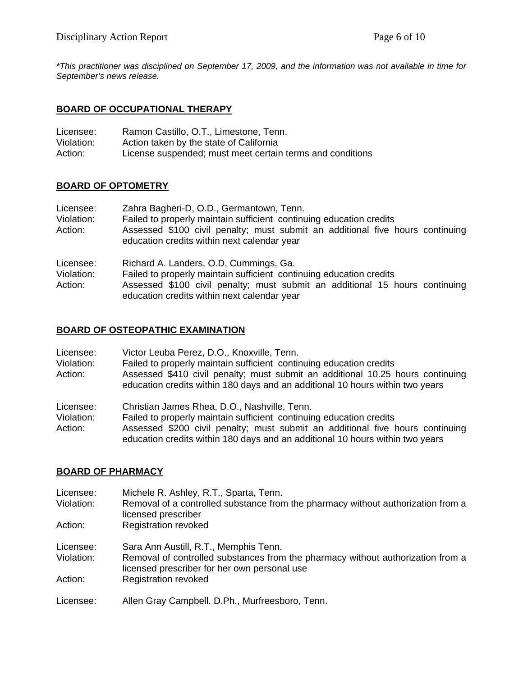*\*This practitioner was disciplined on September 17, 2009, and the information was not available in time for September's news release.* 

### **BOARD OF OCCUPATIONAL THERAPY**

| Licensee:  | Ramon Castillo, O.T., Limestone, Tenn.                    |
|------------|-----------------------------------------------------------|
| Violation: | Action taken by the state of California                   |
| Action:    | License suspended; must meet certain terms and conditions |

#### **BOARD OF OPTOMETRY**

| Licensee:<br>Violation:<br>Action: | Zahra Bagheri-D, O.D., Germantown, Tenn.<br>Failed to properly maintain sufficient continuing education credits<br>Assessed \$100 civil penalty; must submit an additional five hours continuing<br>education credits within next calendar year |
|------------------------------------|-------------------------------------------------------------------------------------------------------------------------------------------------------------------------------------------------------------------------------------------------|
| Licensee:<br>Violation:<br>Action: | Richard A. Landers, O.D, Cummings, Ga.<br>Failed to properly maintain sufficient continuing education credits<br>Assessed \$100 civil penalty; must submit an additional 15 hours continuing<br>education credits within next calendar year     |

#### **BOARD OF OSTEOPATHIC EXAMINATION**

| Licensee:<br>Violation:<br>Action: | Victor Leuba Perez, D.O., Knoxville, Tenn.<br>Failed to properly maintain sufficient continuing education credits<br>Assessed \$410 civil penalty; must submit an additional 10.25 hours continuing<br>education credits within 180 days and an additional 10 hours within two years |
|------------------------------------|--------------------------------------------------------------------------------------------------------------------------------------------------------------------------------------------------------------------------------------------------------------------------------------|
| Licensee:                          | Christian James Rhea, D.O., Nashville, Tenn.                                                                                                                                                                                                                                         |
| Violation:                         | Failed to properly maintain sufficient continuing education credits                                                                                                                                                                                                                  |

Action: Assessed \$200 civil penalty; must submit an additional five hours continuing education credits within 180 days and an additional 10 hours within two years

### **BOARD OF PHARMACY**

| Licensee:<br>Violation: | Michele R. Ashley, R.T., Sparta, Tenn.<br>Removal of a controlled substance from the pharmacy without authorization from a<br>licensed prescriber                        |
|-------------------------|--------------------------------------------------------------------------------------------------------------------------------------------------------------------------|
| Action:                 | <b>Registration revoked</b>                                                                                                                                              |
| Licensee:<br>Violation: | Sara Ann Austill, R.T., Memphis Tenn.<br>Removal of controlled substances from the pharmacy without authorization from a<br>licensed prescriber for her own personal use |
| Action:                 | <b>Registration revoked</b>                                                                                                                                              |
| Licensee:               | Allen Gray Campbell. D.Ph., Murfreesboro, Tenn.                                                                                                                          |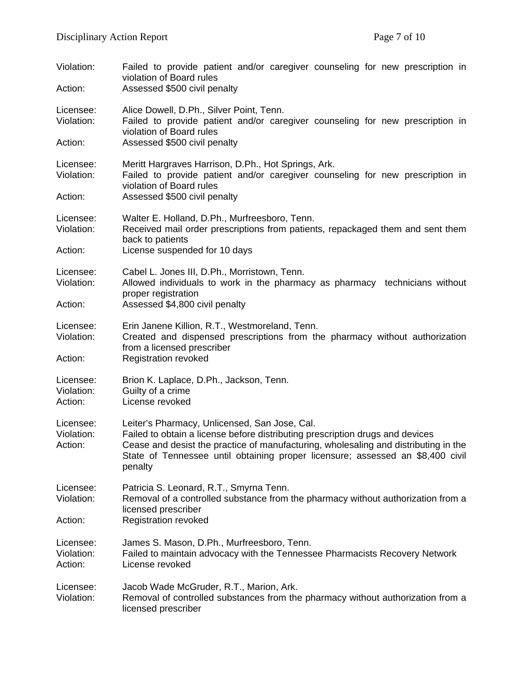| Violation:                         | Failed to provide patient and/or caregiver counseling for new prescription in<br>violation of Board rules                                                                                                                                                                                                          |
|------------------------------------|--------------------------------------------------------------------------------------------------------------------------------------------------------------------------------------------------------------------------------------------------------------------------------------------------------------------|
| Action:                            | Assessed \$500 civil penalty                                                                                                                                                                                                                                                                                       |
| Licensee:<br>Violation:            | Alice Dowell, D.Ph., Silver Point, Tenn.<br>Failed to provide patient and/or caregiver counseling for new prescription in<br>violation of Board rules                                                                                                                                                              |
| Action:                            | Assessed \$500 civil penalty                                                                                                                                                                                                                                                                                       |
| Licensee:<br>Violation:            | Meritt Hargraves Harrison, D.Ph., Hot Springs, Ark.<br>Failed to provide patient and/or caregiver counseling for new prescription in<br>violation of Board rules                                                                                                                                                   |
| Action:                            | Assessed \$500 civil penalty                                                                                                                                                                                                                                                                                       |
| Licensee:<br>Violation:            | Walter E. Holland, D.Ph., Murfreesboro, Tenn.<br>Received mail order prescriptions from patients, repackaged them and sent them<br>back to patients                                                                                                                                                                |
| Action:                            | License suspended for 10 days                                                                                                                                                                                                                                                                                      |
| Licensee:<br>Violation:            | Cabel L. Jones III, D.Ph., Morristown, Tenn.<br>Allowed individuals to work in the pharmacy as pharmacy technicians without<br>proper registration                                                                                                                                                                 |
| Action:                            | Assessed \$4,800 civil penalty                                                                                                                                                                                                                                                                                     |
| Licensee:<br>Violation:            | Erin Janene Killion, R.T., Westmoreland, Tenn.<br>Created and dispensed prescriptions from the pharmacy without authorization<br>from a licensed prescriber                                                                                                                                                        |
| Action:                            | <b>Registration revoked</b>                                                                                                                                                                                                                                                                                        |
| Licensee:<br>Violation:<br>Action: | Brion K. Laplace, D.Ph., Jackson, Tenn.<br>Guilty of a crime<br>License revoked                                                                                                                                                                                                                                    |
| Licensee:<br>Violation:<br>Action: | Leiter's Pharmacy, Unlicensed, San Jose, Cal.<br>Failed to obtain a license before distributing prescription drugs and devices<br>Cease and desist the practice of manufacturing, wholesaling and distributing in the<br>State of Tennessee until obtaining proper licensure; assessed an \$8,400 civil<br>penalty |
| Licensee:<br>Violation:            | Patricia S. Leonard, R.T., Smyrna Tenn.<br>Removal of a controlled substance from the pharmacy without authorization from a<br>licensed prescriber                                                                                                                                                                 |
| Action:                            | <b>Registration revoked</b>                                                                                                                                                                                                                                                                                        |
| Licensee:<br>Violation:<br>Action: | James S. Mason, D.Ph., Murfreesboro, Tenn.<br>Failed to maintain advocacy with the Tennessee Pharmacists Recovery Network<br>License revoked                                                                                                                                                                       |
| Licensee:<br>Violation:            | Jacob Wade McGruder, R.T., Marion, Ark.<br>Removal of controlled substances from the pharmacy without authorization from a<br>licensed prescriber                                                                                                                                                                  |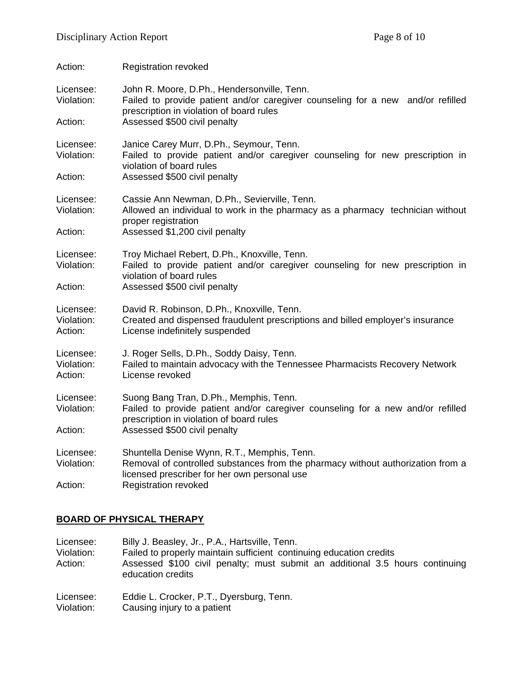| Action:                            | <b>Registration revoked</b>                                                                                                                                                    |
|------------------------------------|--------------------------------------------------------------------------------------------------------------------------------------------------------------------------------|
| Licensee:<br>Violation:            | John R. Moore, D.Ph., Hendersonville, Tenn.<br>Failed to provide patient and/or caregiver counseling for a new and/or refilled<br>prescription in violation of board rules     |
| Action:                            | Assessed \$500 civil penalty                                                                                                                                                   |
| Licensee:<br>Violation:            | Janice Carey Murr, D.Ph., Seymour, Tenn.<br>Failed to provide patient and/or caregiver counseling for new prescription in<br>violation of board rules                          |
| Action:                            | Assessed \$500 civil penalty                                                                                                                                                   |
| Licensee:<br>Violation:            | Cassie Ann Newman, D.Ph., Sevierville, Tenn.<br>Allowed an individual to work in the pharmacy as a pharmacy technician without<br>proper registration                          |
| Action:                            | Assessed \$1,200 civil penalty                                                                                                                                                 |
| Licensee:<br>Violation:            | Troy Michael Rebert, D.Ph., Knoxville, Tenn.<br>Failed to provide patient and/or caregiver counseling for new prescription in<br>violation of board rules                      |
| Action:                            | Assessed \$500 civil penalty                                                                                                                                                   |
| Licensee:<br>Violation:<br>Action: | David R. Robinson, D.Ph., Knoxville, Tenn.<br>Created and dispensed fraudulent prescriptions and billed employer's insurance<br>License indefinitely suspended                 |
| Licensee:<br>Violation:<br>Action: | J. Roger Sells, D.Ph., Soddy Daisy, Tenn.<br>Failed to maintain advocacy with the Tennessee Pharmacists Recovery Network<br>License revoked                                    |
| Licensee:<br>Violation:            | Suong Bang Tran, D.Ph., Memphis, Tenn.<br>Failed to provide patient and/or caregiver counseling for a new and/or refilled<br>prescription in violation of board rules          |
| Action:                            | Assessed \$500 civil penalty                                                                                                                                                   |
| Licensee:<br>Violation:            | Shuntella Denise Wynn, R.T., Memphis, Tenn.<br>Removal of controlled substances from the pharmacy without authorization from a<br>licensed prescriber for her own personal use |
| Action:                            | <b>Registration revoked</b>                                                                                                                                                    |

### **BOARD OF PHYSICAL THERAPY**

Licensee: Billy J. Beasley, Jr., P.A., Hartsville, Tenn. Violation: Failed to properly maintain sufficient continuing education credits<br>Action: Assessed \$100 civil penalty; must submit an additional 3.5 h Assessed \$100 civil penalty; must submit an additional 3.5 hours continuing education credits

Licensee: Eddie L. Crocker, P.T., Dyersburg, Tenn.<br>Violation: Causing injury to a patient Causing injury to a patient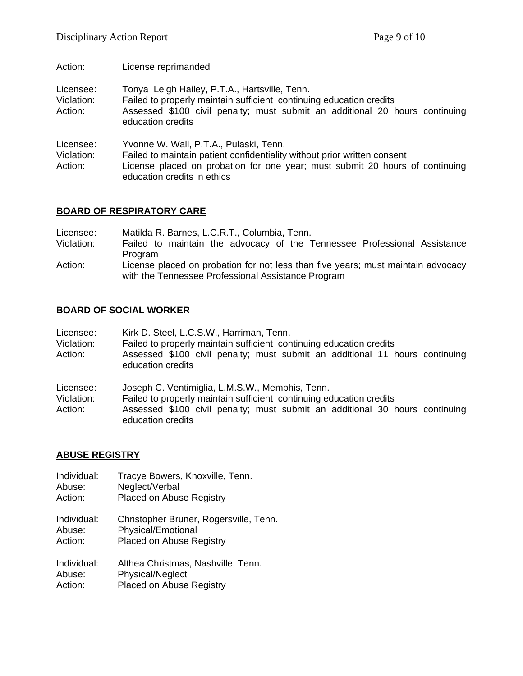Action: License reprimanded Licensee: Tonya Leigh Hailey, P.T.A., Hartsville, Tenn. Violation: Failed to properly maintain sufficient continuing education credits Action: Assessed \$100 civil penalty; must submit an additional 20 hours continuing education credits Licensee: Yvonne W. Wall, P.T.A., Pulaski, Tenn. Violation: Failed to maintain patient confidentiality without prior written consent Action: License placed on probation for one year; must submit 20 hours of continuing education credits in ethics

### **BOARD OF RESPIRATORY CARE**

| Licensee:  | Matilda R. Barnes, L.C.R.T., Columbia, Tenn.                                     |
|------------|----------------------------------------------------------------------------------|
| Violation: | Failed to maintain the advocacy of the Tennessee Professional Assistance         |
|            | Program                                                                          |
| Action:    | License placed on probation for not less than five years; must maintain advocacy |
|            | with the Tennessee Professional Assistance Program                               |

#### **BOARD OF SOCIAL WORKER**

| Licensee:<br>Violation:<br>Action: | Kirk D. Steel, L.C.S.W., Harriman, Tenn.<br>Failed to properly maintain sufficient continuing education credits<br>Assessed \$100 civil penalty; must submit an additional 11 hours continuing<br>education credits        |
|------------------------------------|----------------------------------------------------------------------------------------------------------------------------------------------------------------------------------------------------------------------------|
| Licensee:<br>Violation:<br>Action: | Joseph C. Ventimiglia, L.M.S.W., Memphis, Tenn.<br>Failed to properly maintain sufficient continuing education credits<br>Assessed \$100 civil penalty; must submit an additional 30 hours continuing<br>education credits |

#### **ABUSE REGISTRY**

- Individual: Tracye Bowers, Knoxville, Tenn.
- Abuse: Neglect/Verbal
- Action: Placed on Abuse Registry
- Individual: Christopher Bruner, Rogersville, Tenn. Abuse: Physical/Emotional
- Action: Placed on Abuse Registry
- Individual: Althea Christmas, Nashville, Tenn. Abuse: Physical/Neglect Action: Placed on Abuse Registry